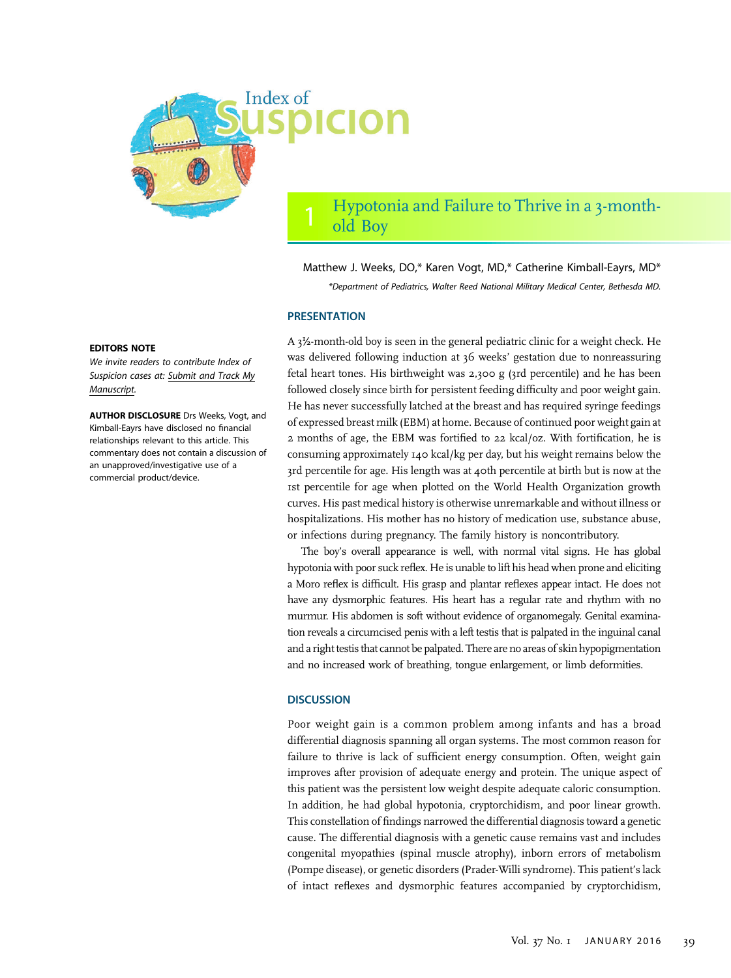

## Hypotonia and Failure to Thrive in a 3-monthold Boy

Matthew J. Weeks, DO,\* Karen Vogt, MD,\* Catherine Kimball-Eayrs, MD\*

\*Department of Pediatrics, Walter Reed National Military Medical Center, Bethesda MD.

### **PRESENTATION**

A 3½-month-old boy is seen in the general pediatric clinic for a weight check. He was delivered following induction at 36 weeks' gestation due to nonreassuring fetal heart tones. His birthweight was 2,300 g (3rd percentile) and he has been followed closely since birth for persistent feeding difficulty and poor weight gain. He has never successfully latched at the breast and has required syringe feedings of expressed breast milk (EBM) at home. Because of continued poor weight gain at 2 months of age, the EBM was fortified to 22 kcal/oz. With fortification, he is consuming approximately 140 kcal/kg per day, but his weight remains below the 3rd percentile for age. His length was at 40th percentile at birth but is now at the 1st percentile for age when plotted on the World Health Organization growth curves. His past medical history is otherwise unremarkable and without illness or hospitalizations. His mother has no history of medication use, substance abuse, or infections during pregnancy. The family history is noncontributory.

The boy's overall appearance is well, with normal vital signs. He has global hypotonia with poor suck reflex. He is unable to lift his head when prone and eliciting a Moro reflex is difficult. His grasp and plantar reflexes appear intact. He does not have any dysmorphic features. His heart has a regular rate and rhythm with no murmur. His abdomen is soft without evidence of organomegaly. Genital examination reveals a circumcised penis with a left testis that is palpated in the inguinal canal and a right testis that cannot be palpated. There are no areas of skin hypopigmentation and no increased work of breathing, tongue enlargement, or limb deformities.

#### **DISCUSSION**

Poor weight gain is a common problem among infants and has a broad differential diagnosis spanning all organ systems. The most common reason for failure to thrive is lack of sufficient energy consumption. Often, weight gain improves after provision of adequate energy and protein. The unique aspect of this patient was the persistent low weight despite adequate caloric consumption. In addition, he had global hypotonia, cryptorchidism, and poor linear growth. This constellation of findings narrowed the differential diagnosis toward a genetic cause. The differential diagnosis with a genetic cause remains vast and includes congenital myopathies (spinal muscle atrophy), inborn errors of metabolism (Pompe disease), or genetic disorders (Prader-Willi syndrome). This patient's lack of intact reflexes and dysmorphic features accompanied by cryptorchidism,

#### EDITORS NOTE

We invite readers to contribute Index of Suspicion cases at: [Submit and Track My](http://mc.manuscriptcentral.com/pir) [Manuscript](http://mc.manuscriptcentral.com/pir).

AUTHOR DISCLOSURE Drs Weeks, Vogt, and Kimball-Eayrs have disclosed no financial relationships relevant to this article. This commentary does not contain a discussion of an unapproved/investigative use of a commercial product/device.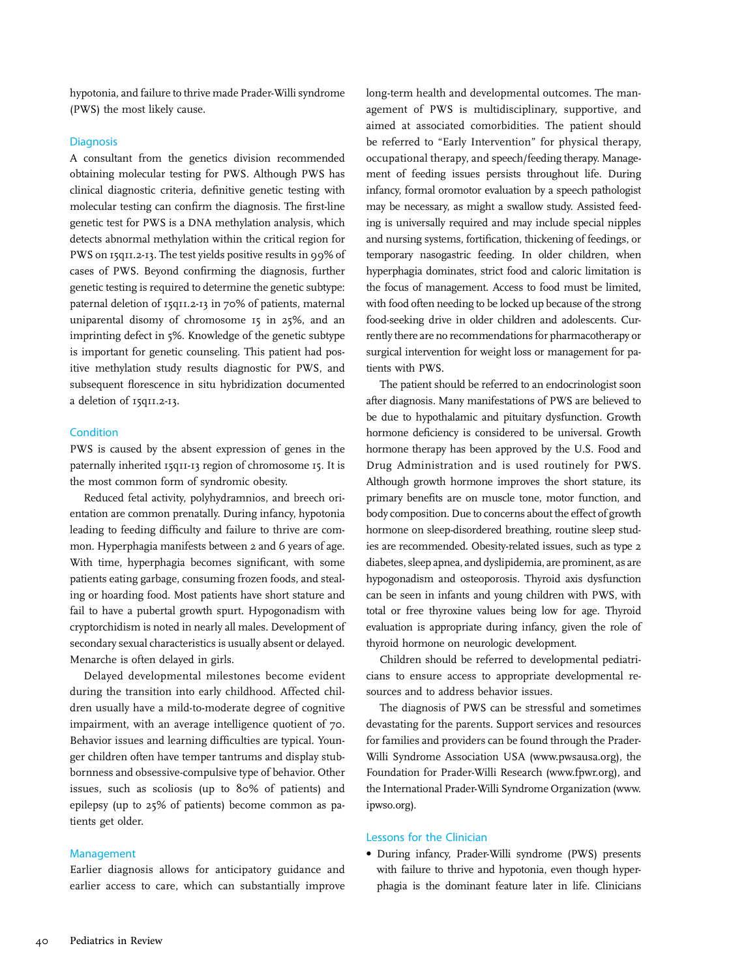hypotonia, and failure to thrive made Prader-Willi syndrome (PWS) the most likely cause.

#### **Diagnosis**

A consultant from the genetics division recommended obtaining molecular testing for PWS. Although PWS has clinical diagnostic criteria, definitive genetic testing with molecular testing can confirm the diagnosis. The first-line genetic test for PWS is a DNA methylation analysis, which detects abnormal methylation within the critical region for PWS on 15q11.2-13. The test yields positive results in 99% of cases of PWS. Beyond confirming the diagnosis, further genetic testing is required to determine the genetic subtype: paternal deletion of 15q11.2-13 in 70% of patients, maternal uniparental disomy of chromosome 15 in 25%, and an imprinting defect in 5%. Knowledge of the genetic subtype is important for genetic counseling. This patient had positive methylation study results diagnostic for PWS, and subsequent florescence in situ hybridization documented a deletion of 15q11.2-13.

### **Condition**

PWS is caused by the absent expression of genes in the paternally inherited 15q11-13 region of chromosome 15. It is the most common form of syndromic obesity.

Reduced fetal activity, polyhydramnios, and breech orientation are common prenatally. During infancy, hypotonia leading to feeding difficulty and failure to thrive are common. Hyperphagia manifests between 2 and 6 years of age. With time, hyperphagia becomes significant, with some patients eating garbage, consuming frozen foods, and stealing or hoarding food. Most patients have short stature and fail to have a pubertal growth spurt. Hypogonadism with cryptorchidism is noted in nearly all males. Development of secondary sexual characteristics is usually absent or delayed. Menarche is often delayed in girls.

Delayed developmental milestones become evident during the transition into early childhood. Affected children usually have a mild-to-moderate degree of cognitive impairment, with an average intelligence quotient of 70. Behavior issues and learning difficulties are typical. Younger children often have temper tantrums and display stubbornness and obsessive-compulsive type of behavior. Other issues, such as scoliosis (up to 80% of patients) and epilepsy (up to 25% of patients) become common as patients get older.

#### Management

Earlier diagnosis allows for anticipatory guidance and earlier access to care, which can substantially improve long-term health and developmental outcomes. The management of PWS is multidisciplinary, supportive, and aimed at associated comorbidities. The patient should be referred to "Early Intervention" for physical therapy, occupational therapy, and speech/feeding therapy. Management of feeding issues persists throughout life. During infancy, formal oromotor evaluation by a speech pathologist may be necessary, as might a swallow study. Assisted feeding is universally required and may include special nipples and nursing systems, fortification, thickening of feedings, or temporary nasogastric feeding. In older children, when hyperphagia dominates, strict food and caloric limitation is the focus of management. Access to food must be limited, with food often needing to be locked up because of the strong food-seeking drive in older children and adolescents. Currently there are no recommendations for pharmacotherapy or surgical intervention for weight loss or management for patients with PWS.

The patient should be referred to an endocrinologist soon after diagnosis. Many manifestations of PWS are believed to be due to hypothalamic and pituitary dysfunction. Growth hormone deficiency is considered to be universal. Growth hormone therapy has been approved by the U.S. Food and Drug Administration and is used routinely for PWS. Although growth hormone improves the short stature, its primary benefits are on muscle tone, motor function, and body composition. Due to concerns about the effect of growth hormone on sleep-disordered breathing, routine sleep studies are recommended. Obesity-related issues, such as type 2 diabetes, sleep apnea, and dyslipidemia, are prominent, as are hypogonadism and osteoporosis. Thyroid axis dysfunction can be seen in infants and young children with PWS, with total or free thyroxine values being low for age. Thyroid evaluation is appropriate during infancy, given the role of thyroid hormone on neurologic development.

Children should be referred to developmental pediatricians to ensure access to appropriate developmental resources and to address behavior issues.

The diagnosis of PWS can be stressful and sometimes devastating for the parents. Support services and resources for families and providers can be found through the Prader-Willi Syndrome Association USA ([www.pwsausa.org](http://www.pwsausa.org)), the Foundation for Prader-Willi Research ([www.fpwr.org](http://www.fpwr.org)), and the International Prader-Willi Syndrome Organization [\(www.](http://www.ipwso.org) [ipwso.org\)](http://www.ipwso.org).

#### Lessons for the Clinician

• During infancy, Prader-Willi syndrome (PWS) presents with failure to thrive and hypotonia, even though hyperphagia is the dominant feature later in life. Clinicians